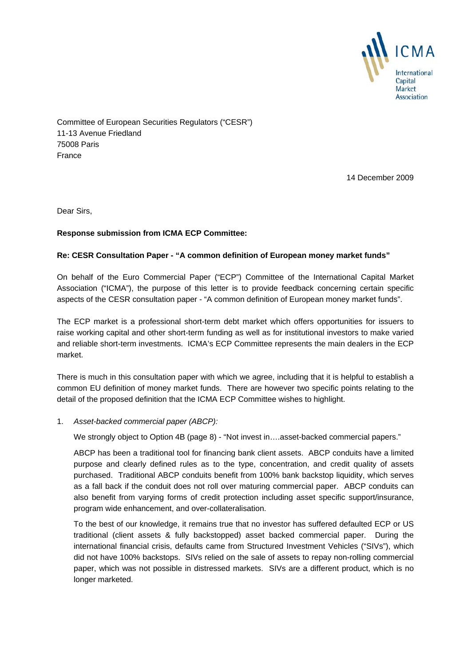

Committee of European Securities Regulators ("CESR") 11-13 Avenue Friedland 75008 Paris France

14 December 2009

Dear Sirs,

## **Response submission from ICMA ECP Committee:**

## **Re: CESR Consultation Paper - "A common definition of European money market funds"**

On behalf of the Euro Commercial Paper ("ECP") Committee of the International Capital Market Association ("ICMA"), the purpose of this letter is to provide feedback concerning certain specific aspects of the CESR consultation paper - "A common definition of European money market funds".

The ECP market is a professional short-term debt market which offers opportunities for issuers to raise working capital and other short-term funding as well as for institutional investors to make varied and reliable short-term investments. ICMA's ECP Committee represents the main dealers in the ECP market.

There is much in this consultation paper with which we agree, including that it is helpful to establish a common EU definition of money market funds. There are however two specific points relating to the detail of the proposed definition that the ICMA ECP Committee wishes to highlight.

1. *Asset-backed commercial paper (ABCP):* 

We strongly object to Option 4B (page 8) - "Not invest in....asset-backed commercial papers."

ABCP has been a traditional tool for financing bank client assets. ABCP conduits have a limited purpose and clearly defined rules as to the type, concentration, and credit quality of assets purchased. Traditional ABCP conduits benefit from 100% bank backstop liquidity, which serves as a fall back if the conduit does not roll over maturing commercial paper. ABCP conduits can also benefit from varying forms of credit protection including asset specific support/insurance, program wide enhancement, and over-collateralisation.

To the best of our knowledge, it remains true that no investor has suffered defaulted ECP or US traditional (client assets & fully backstopped) asset backed commercial paper. During the international financial crisis, defaults came from Structured Investment Vehicles ("SIVs"), which did not have 100% backstops. SIVs relied on the sale of assets to repay non-rolling commercial paper, which was not possible in distressed markets. SIVs are a different product, which is no longer marketed.